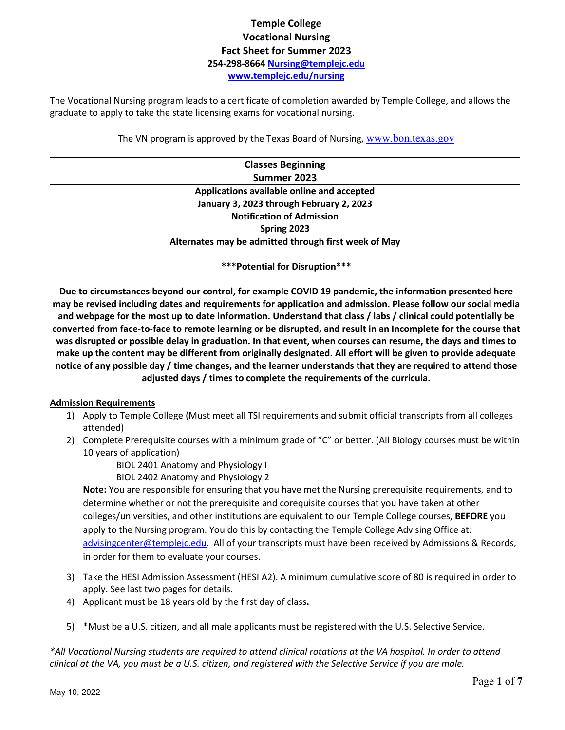# **Temple College Vocational Nursing Fact Sheet for Summer 2023 254-298-8664 [Nursing@templejc.edu](mailto:nursing@templejc.edu)  [www.templejc.edu/nursing](http://templejc.edu/academics/programs/health-professions/nursing/associate-degree-nursing-adn/admission-requirements/)**

The Vocational Nursing program leads to a certificate of completion awarded by Temple College, and allows the graduate to apply to take the state licensing exams for vocational nursing.

## The VN program is approved by the Texas Board of Nursing, [www.bon.texas.gov](http://www.bon.texas.gov/)

| <b>Classes Beginning</b>                             |
|------------------------------------------------------|
| Summer 2023                                          |
| Applications available online and accepted           |
| January 3, 2023 through February 2, 2023             |
| <b>Notification of Admission</b>                     |
| Spring 2023                                          |
| Alternates may be admitted through first week of May |

### **\*\*\*Potential for Disruption\*\*\***

**Due to circumstances beyond our control, for example COVID 19 pandemic, the information presented here may be revised including dates and requirements for application and admission. Please follow our social media and webpage for the most up to date information. Understand that class / labs / clinical could potentially be converted from face-to-face to remote learning or be disrupted, and result in an Incomplete for the course that was disrupted or possible delay in graduation. In that event, when courses can resume, the days and times to make up the content may be different from originally designated. All effort will be given to provide adequate notice of any possible day / time changes, and the learner understands that they are required to attend those adjusted days / times to complete the requirements of the curricula.**

## **Admission Requirements**

- 1) Apply to Temple College (Must meet all TSI requirements and submit official transcripts from all colleges attended)
- 2) Complete Prerequisite courses with a minimum grade of "C" or better. (All Biology courses must be within 10 years of application)
	- BIOL 2401 Anatomy and Physiology I
	- BIOL 2402 Anatomy and Physiology 2

**Note:** You are responsible for ensuring that you have met the Nursing prerequisite requirements, and to determine whether or not the prerequisite and corequisite courses that you have taken at other colleges/universities, and other institutions are equivalent to our Temple College courses, **BEFORE** you apply to the Nursing program. You do this by contacting the Temple College Advising Office at: [advisingcenter@templejc.edu.](mailto:advisingcenter@templejc.edu) All of your transcripts must have been received by Admissions & Records, in order for them to evaluate your courses.

- 3) Take the HESI Admission Assessment (HESI A2). A minimum cumulative score of 80 is required in order to apply. See last two pages for details.
- 4) Applicant must be 18 years old by the first day of class**.**
- 5) \*Must be a U.S. citizen, and all male applicants must be registered with the U.S. Selective Service.

*\*All Vocational Nursing students are required to attend clinical rotations at the VA hospital. In order to attend clinical at the VA, you must be a U.S. citizen, and registered with the Selective Service if you are male.*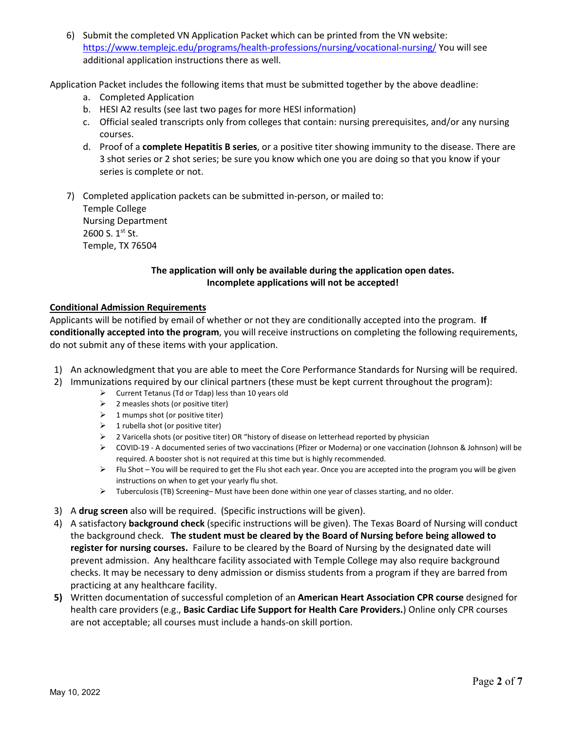6) Submit the completed VN Application Packet which can be printed from the VN website: <https://www.templejc.edu/programs/health-professions/nursing/vocational-nursing/> You will see additional application instructions there as well.

Application Packet includes the following items that must be submitted together by the above deadline:

- a. Completed Application
- b. HESI A2 results (see last two pages for more HESI information)
- c. Official sealed transcripts only from colleges that contain: nursing prerequisites, and/or any nursing courses.
- d. Proof of a **complete Hepatitis B series**, or a positive titer showing immunity to the disease. There are 3 shot series or 2 shot series; be sure you know which one you are doing so that you know if your series is complete or not.

7) Completed application packets can be submitted in-person, or mailed to: Temple College Nursing Department 2600 S. 1st St. Temple, TX 76504

# **The application will only be available during the application open dates. Incomplete applications will not be accepted!**

## **Conditional Admission Requirements**

Applicants will be notified by email of whether or not they are conditionally accepted into the program. **If conditionally accepted into the program**, you will receive instructions on completing the following requirements, do not submit any of these items with your application.

- 1) An acknowledgment that you are able to meet the Core Performance Standards for Nursing will be required.
- 2) Immunizations required by our clinical partners (these must be kept current throughout the program):
	- $\triangleright$  Current Tetanus (Td or Tdap) less than 10 years old
	- $\geq$  2 measles shots (or positive titer)
	- $\geq 1$  mumps shot (or positive titer)
	- $\geq 1$  rubella shot (or positive titer)
	- 2 Varicella shots (or positive titer) OR "history of disease on letterhead reported by physician
	- COVID-19 A documented series of two vaccinations (Pfizer or Moderna) or one vaccination (Johnson & Johnson) will be required. A booster shot is not required at this time but is highly recommended.
	- $\triangleright$  Flu Shot You will be required to get the Flu shot each year. Once you are accepted into the program you will be given instructions on when to get your yearly flu shot.
	- $\triangleright$  Tuberculosis (TB) Screening– Must have been done within one year of classes starting, and no older.
- 3) A **drug screen** also will be required. (Specific instructions will be given).
- 4) A satisfactory **background check** (specific instructions will be given). The Texas Board of Nursing will conduct the background check. **The student must be cleared by the Board of Nursing before being allowed to register for nursing courses.** Failure to be cleared by the Board of Nursing by the designated date will prevent admission. Any healthcare facility associated with Temple College may also require background checks. It may be necessary to deny admission or dismiss students from a program if they are barred from practicing at any healthcare facility.
- **5)** Written documentation of successful completion of an **American Heart Association CPR course** designed for health care providers (e.g., **Basic Cardiac Life Support for Health Care Providers.**) Online only CPR courses are not acceptable; all courses must include a hands-on skill portion.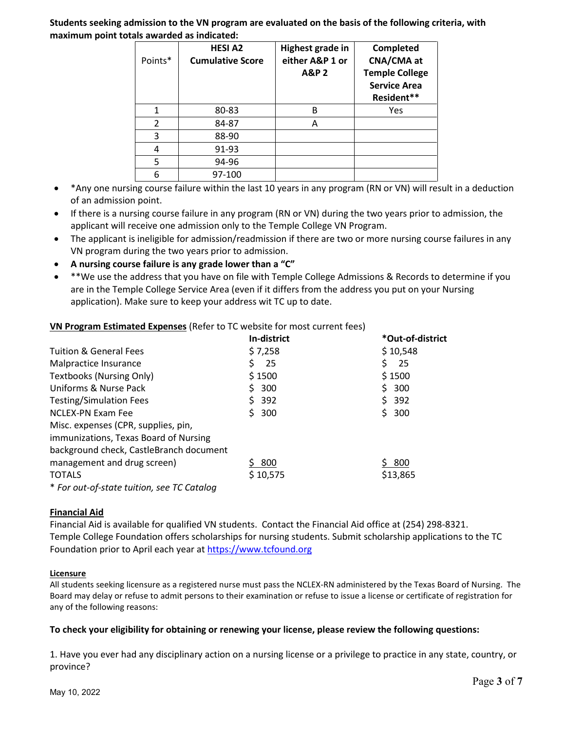**Students seeking admission to the VN program are evaluated on the basis of the following criteria, with maximum point totals awarded as indicated:**

| Points*       | <b>HESI A2</b><br><b>Cumulative Score</b> | Highest grade in<br>either A&P 1 or<br><b>A&amp;P2</b> | Completed<br>CNA/CMA at<br><b>Temple College</b><br><b>Service Area</b><br>Resident** |
|---------------|-------------------------------------------|--------------------------------------------------------|---------------------------------------------------------------------------------------|
|               | 80-83                                     | В                                                      | Yes                                                                                   |
| $\mathcal{P}$ | 84-87                                     | Α                                                      |                                                                                       |
| 3             | 88-90                                     |                                                        |                                                                                       |
| 4             | 91-93                                     |                                                        |                                                                                       |
| 5             | 94-96                                     |                                                        |                                                                                       |
| 6             | 97-100                                    |                                                        |                                                                                       |

- \*Any one nursing course failure within the last 10 years in any program (RN or VN) will result in a deduction of an admission point.
- If there is a nursing course failure in any program (RN or VN) during the two years prior to admission, the applicant will receive one admission only to the Temple College VN Program.
- The applicant is ineligible for admission/readmission if there are two or more nursing course failures in any VN program during the two years prior to admission.
- **A nursing course failure is any grade lower than a "C"**
- \*\*We use the address that you have on file with Temple College Admissions & Records to determine if you are in the Temple College Service Area (even if it differs from the address you put on your Nursing application). Make sure to keep your address wit TC up to date.

**VN Program Estimated Expenses** (Refer to TC website for most current fees)

|                                            | In-district | *Out-of-district |
|--------------------------------------------|-------------|------------------|
| <b>Tuition &amp; General Fees</b>          | \$7,258     | \$10,548         |
| Malpractice Insurance                      | 25          | 25               |
| <b>Textbooks (Nursing Only)</b>            | \$1500      | \$1500           |
| Uniforms & Nurse Pack                      | 300         | \$ 300           |
| <b>Testing/Simulation Fees</b>             | \$392       | \$392            |
| NCLEX-PN Exam Fee                          | \$300       | \$300            |
| Misc. expenses (CPR, supplies, pin,        |             |                  |
| immunizations, Texas Board of Nursing      |             |                  |
| background check, CastleBranch document    |             |                  |
| management and drug screen)                | 800         | \$ 800           |
| <b>TOTALS</b>                              | \$10,575    | \$13,865         |
| * For out-of-state tuition, see TC Catalog |             |                  |

## **Financial Aid**

Financial Aid is available for qualified VN students. Contact the Financial Aid office at (254) 298-8321. Temple College Foundation offers scholarships for nursing students. Submit scholarship applications to the TC Foundation prior to April each year a[t https://www.tcfound.org](https://www.tcfound.org/)

## **Licensure**

All students seeking licensure as a registered nurse must pass the NCLEX-RN administered by the Texas Board of Nursing. The Board may delay or refuse to admit persons to their examination or refuse to issue a license or certificate of registration for any of the following reasons:

## **To check your eligibility for obtaining or renewing your license, please review the following questions:**

1. Have you ever had any disciplinary action on a nursing license or a privilege to practice in any state, country, or province?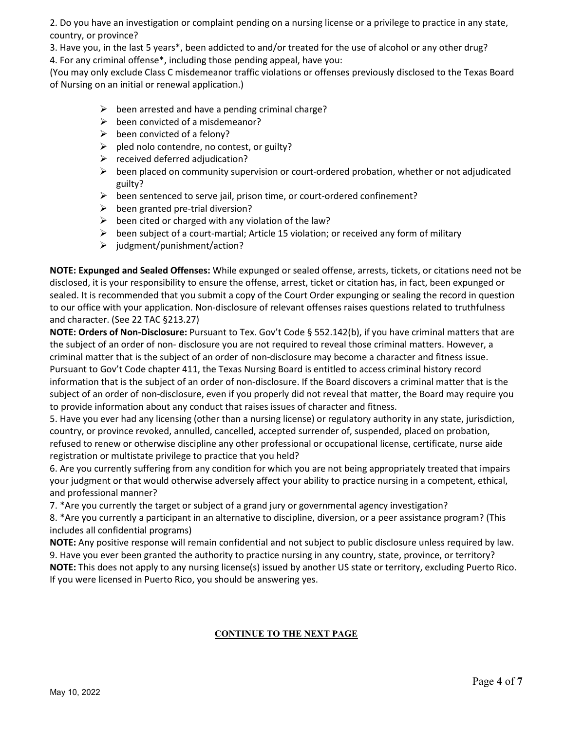2. Do you have an investigation or complaint pending on a nursing license or a privilege to practice in any state, country, or province?

3. Have you, in the last 5 years\*, been addicted to and/or treated for the use of alcohol or any other drug? 4. For any criminal offense\*, including those pending appeal, have you:

(You may only exclude Class C misdemeanor traffic violations or offenses previously disclosed to the Texas Board of Nursing on an initial or renewal application.)

- $\triangleright$  been arrested and have a pending criminal charge?
- $\triangleright$  been convicted of a misdemeanor?
- $\triangleright$  been convicted of a felony?
- $\triangleright$  pled nolo contendre, no contest, or guilty?
- $\triangleright$  received deferred adjudication?
- $\triangleright$  been placed on community supervision or court-ordered probation, whether or not adjudicated guilty?
- $\triangleright$  been sentenced to serve jail, prison time, or court-ordered confinement?
- $\triangleright$  been granted pre-trial diversion?
- $\triangleright$  been cited or charged with any violation of the law?
- $\triangleright$  been subject of a court-martial; Article 15 violation; or received any form of military
- $\geq$  judgment/punishment/action?

**NOTE: Expunged and Sealed Offenses:** While expunged or sealed offense, arrests, tickets, or citations need not be disclosed, it is your responsibility to ensure the offense, arrest, ticket or citation has, in fact, been expunged or sealed. It is recommended that you submit a copy of the Court Order expunging or sealing the record in question to our office with your application. Non-disclosure of relevant offenses raises questions related to truthfulness and character. (See 22 TAC §213.27)

**NOTE: Orders of Non-Disclosure:** Pursuant to Tex. Gov't Code § 552.142(b), if you have criminal matters that are the subject of an order of non- disclosure you are not required to reveal those criminal matters. However, a criminal matter that is the subject of an order of non-disclosure may become a character and fitness issue. Pursuant to Gov't Code chapter 411, the Texas Nursing Board is entitled to access criminal history record information that is the subject of an order of non-disclosure. If the Board discovers a criminal matter that is the subject of an order of non-disclosure, even if you properly did not reveal that matter, the Board may require you to provide information about any conduct that raises issues of character and fitness.

5. Have you ever had any licensing (other than a nursing license) or regulatory authority in any state, jurisdiction, country, or province revoked, annulled, cancelled, accepted surrender of, suspended, placed on probation, refused to renew or otherwise discipline any other professional or occupational license, certificate, nurse aide registration or multistate privilege to practice that you held?

6. Are you currently suffering from any condition for which you are not being appropriately treated that impairs your judgment or that would otherwise adversely affect your ability to practice nursing in a competent, ethical, and professional manner?

7. \*Are you currently the target or subject of a grand jury or governmental agency investigation?

8. \*Are you currently a participant in an alternative to discipline, diversion, or a peer assistance program? (This includes all confidential programs)

**NOTE:** Any positive response will remain confidential and not subject to public disclosure unless required by law. 9. Have you ever been granted the authority to practice nursing in any country, state, province, or territory? **NOTE:** This does not apply to any nursing license(s) issued by another US state or territory, excluding Puerto Rico. If you were licensed in Puerto Rico, you should be answering yes.

# **CONTINUE TO THE NEXT PAGE**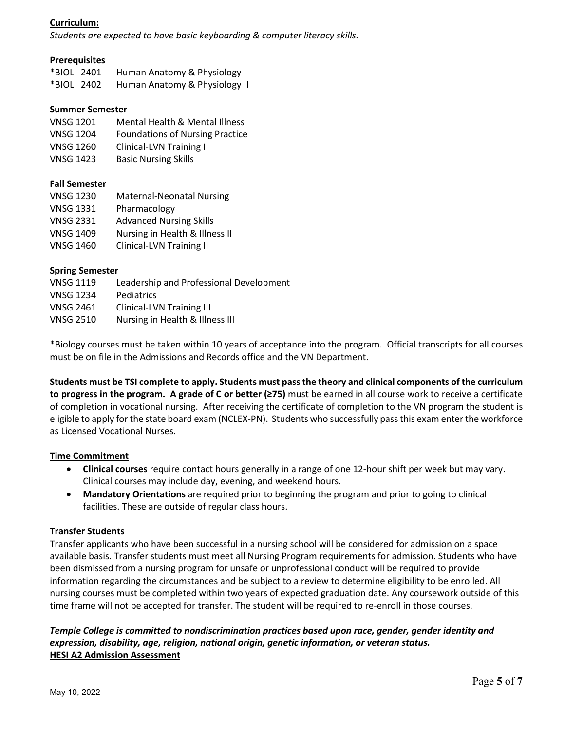# **Curriculum:**

*Students are expected to have basic keyboarding & computer literacy skills.*

### **Prerequisites**

| *BIOL 2401 | Human Anatomy & Physiology I  |
|------------|-------------------------------|
| *BIOL 2402 | Human Anatomy & Physiology II |

### **Summer Semester**

- VNSG 1201 Mental Health & Mental Illness
- VNSG 1204 Foundations of Nursing Practice
- VNSG 1260 Clinical-LVN Training I
- VNSG 1423 Basic Nursing Skills

## **Fall Semester**

| <b>VNSG 1230</b> | <b>Maternal-Neonatal Nursing</b> |
|------------------|----------------------------------|
| <b>VNSG 1331</b> | Pharmacology                     |
| <b>VNSG 2331</b> | <b>Advanced Nursing Skills</b>   |
| <b>VNSG 1409</b> | Nursing in Health & Illness II   |
| <b>VNSG 1460</b> | <b>Clinical-LVN Training II</b>  |

### **Spring Semester**

| <b>VNSG 1119</b> | Leadership and Professional Development |
|------------------|-----------------------------------------|
| <b>VNSG 1234</b> | Pediatrics                              |
| <b>VNSG 2461</b> | <b>Clinical-LVN Training III</b>        |
| <b>VNSG 2510</b> | Nursing in Health & Illness III         |

\*Biology courses must be taken within 10 years of acceptance into the program. Official transcripts for all courses must be on file in the Admissions and Records office and the VN Department.

**Students must be TSI complete to apply. Students must pass the theory and clinical components of the curriculum to progress in the program. A grade of C or better (≥75)** must be earned in all course work to receive a certificate of completion in vocational nursing. After receiving the certificate of completion to the VN program the student is eligible to apply for the state board exam (NCLEX-PN). Students who successfully pass this exam enter the workforce as Licensed Vocational Nurses.

## **Time Commitment**

- **Clinical courses** require contact hours generally in a range of one 12-hour shift per week but may vary. Clinical courses may include day, evening, and weekend hours.
- **Mandatory Orientations** are required prior to beginning the program and prior to going to clinical facilities. These are outside of regular class hours.

## **Transfer Students**

Transfer applicants who have been successful in a nursing school will be considered for admission on a space available basis. Transfer students must meet all Nursing Program requirements for admission. Students who have been dismissed from a nursing program for unsafe or unprofessional conduct will be required to provide information regarding the circumstances and be subject to a review to determine eligibility to be enrolled. All nursing courses must be completed within two years of expected graduation date. Any coursework outside of this time frame will not be accepted for transfer. The student will be required to re-enroll in those courses.

*Temple College is committed to nondiscrimination practices based upon race, gender, gender identity and expression, disability, age, religion, national origin, genetic information, or veteran status.* **HESI A2 Admission Assessment**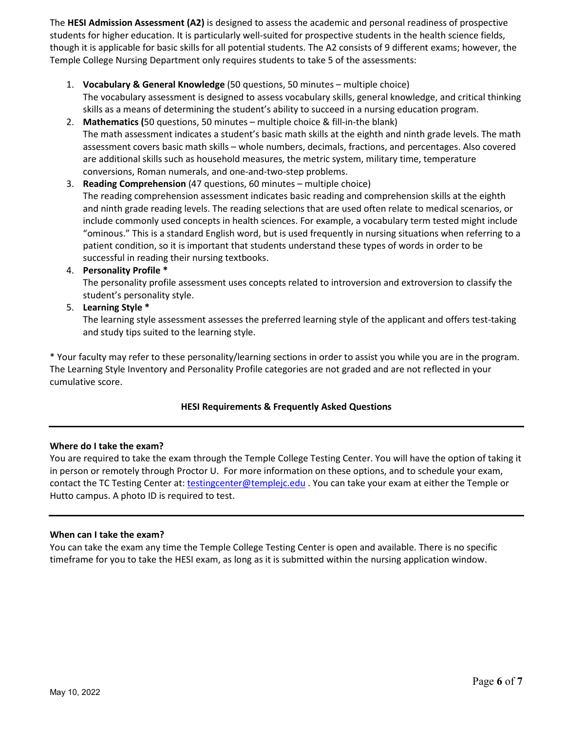The **HESI Admission Assessment (A2)** is designed to assess the academic and personal readiness of prospective students for higher education. It is particularly well-suited for prospective students in the health science fields, though it is applicable for basic skills for all potential students. The A2 consists of 9 different exams; however, the Temple College Nursing Department only requires students to take 5 of the assessments:

- 1. **Vocabulary & General Knowledge** (50 questions, 50 minutes multiple choice) The vocabulary assessment is designed to assess vocabulary skills, general knowledge, and critical thinking skills as a means of determining the student's ability to succeed in a nursing education program.
- 2. **Mathematics (**50 questions, 50 minutes multiple choice & fill-in-the blank) The math assessment indicates a student's basic math skills at the eighth and ninth grade levels. The math assessment covers basic math skills – whole numbers, decimals, fractions, and percentages. Also covered are additional skills such as household measures, the metric system, military time, temperature conversions, Roman numerals, and one-and-two-step problems.
- 3. **Reading Comprehension** (47 questions, 60 minutes multiple choice) The reading comprehension assessment indicates basic reading and comprehension skills at the eighth and ninth grade reading levels. The reading selections that are used often relate to medical scenarios, or include commonly used concepts in health sciences. For example, a vocabulary term tested might include "ominous." This is a standard English word, but is used frequently in nursing situations when referring to a patient condition, so it is important that students understand these types of words in order to be successful in reading their nursing textbooks.
- 4. **Personality Profile \***

The personality profile assessment uses concepts related to introversion and extroversion to classify the student's personality style.

5. **Learning Style \*** 

The learning style assessment assesses the preferred learning style of the applicant and offers test-taking and study tips suited to the learning style.

\* Your faculty may refer to these personality/learning sections in order to assist you while you are in the program. The Learning Style Inventory and Personality Profile categories are not graded and are not reflected in your cumulative score.

# **HESI Requirements & Frequently Asked Questions**

## **Where do I take the exam?**

You are required to take the exam through the Temple College Testing Center. You will have the option of taking it in person or remotely through Proctor U. For more information on these options, and to schedule your exam, contact the TC Testing Center at: [testingcenter@templejc.edu](mailto:testingcenter@templejc.edu) . You can take your exam at either the Temple or Hutto campus. A photo ID is required to test.

## **When can I take the exam?**

You can take the exam any time the Temple College Testing Center is open and available. There is no specific timeframe for you to take the HESI exam, as long as it is submitted within the nursing application window.